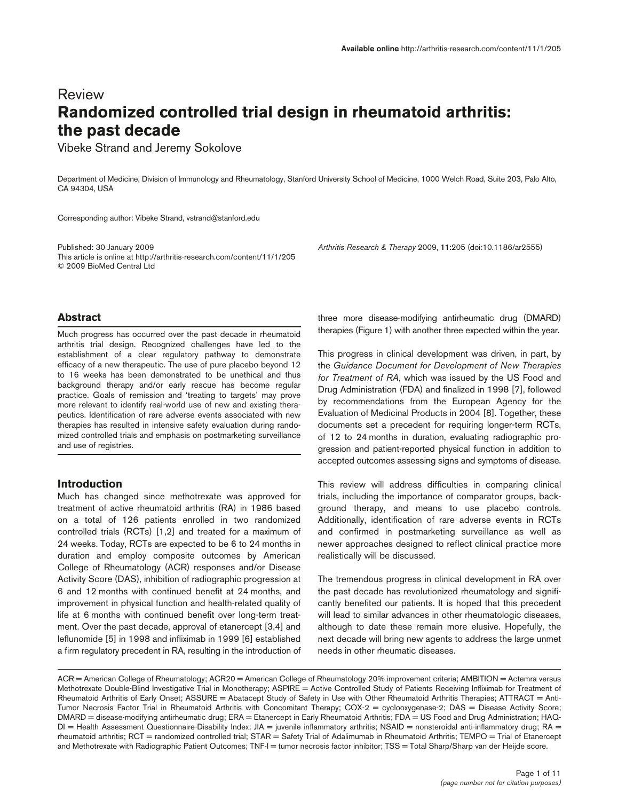# Review **Randomized controlled trial design in rheumatoid arthritis: the past decade**

Vibeke Strand and Jeremy Sokolove

Department of Medicine, Division of Immunology and Rheumatology, Stanford University School of Medicine, 1000 Welch Road, Suite 203, Palo Alto, CA 94304, USA

Corresponding author: Vibeke Strand, vstrand@stanford.edu

Published: 30 January 2009 *Arthritis Research & Therapy* 2009, **11:**205 (doi:10.1186/ar2555) This article is online at http://arthritis-research.com/content/11/1/205 © 2009 BioMed Central Ltd

#### **Abstract**

Much progress has occurred over the past decade in rheumatoid arthritis trial design. Recognized challenges have led to the establishment of a clear regulatory pathway to demonstrate efficacy of a new therapeutic. The use of pure placebo beyond 12 to 16 weeks has been demonstrated to be unethical and thus background therapy and/or early rescue has become regular practice. Goals of remission and 'treating to targets' may prove more relevant to identify real-world use of new and existing therapeutics. Identification of rare adverse events associated with new therapies has resulted in intensive safety evaluation during randomized controlled trials and emphasis on postmarketing surveillance and use of registries.

#### **Introduction**

Much has changed since methotrexate was approved for treatment of active rheumatoid arthritis (RA) in 1986 based on a total of 126 patients enrolled in two randomized controlled trials (RCTs) [1,2] and treated for a maximum of 24 weeks. Today, RCTs are expected to be 6 to 24 months in duration and employ composite outcomes by American College of Rheumatology (ACR) responses and/or Disease Activity Score (DAS), inhibition of radiographic progression at 6 and 12 months with continued benefit at 24 months, and improvement in physical function and health-related quality of life at 6 months with continued benefit over long-term treatment. Over the past decade, approval of etanercept [3,4] and leflunomide [5] in 1998 and infliximab in 1999 [6] established a firm regulatory precedent in RA, resulting in the introduction of

three more disease-modifying antirheumatic drug (DMARD) therapies (Figure 1) with another three expected within the year.

This progress in clinical development was driven, in part, by the *Guidance Document for Development of New Therapies for Treatment of RA*, which was issued by the US Food and Drug Administration (FDA) and finalized in 1998 [7], followed by recommendations from the European Agency for the Evaluation of Medicinal Products in 2004 [8]. Together, these documents set a precedent for requiring longer-term RCTs, of 12 to 24 months in duration, evaluating radiographic progression and patient-reported physical function in addition to accepted outcomes assessing signs and symptoms of disease.

This review will address difficulties in comparing clinical trials, including the importance of comparator groups, background therapy, and means to use placebo controls. Additionally, identification of rare adverse events in RCTs and confirmed in postmarketing surveillance as well as newer approaches designed to reflect clinical practice more realistically will be discussed.

The tremendous progress in clinical development in RA over the past decade has revolutionized rheumatology and significantly benefited our patients. It is hoped that this precedent will lead to similar advances in other rheumatologic diseases, although to date these remain more elusive. Hopefully, the next decade will bring new agents to address the large unmet needs in other rheumatic diseases.

ACR = American College of Rheumatology; ACR20 = American College of Rheumatology 20% improvement criteria; AMBITION = Actemra versus Methotrexate Double-Blind Investigative Trial in Monotherapy; ASPIRE = Active Controlled Study of Patients Receiving Infliximab for Treatment of Rheumatoid Arthritis of Early Onset; ASSURE = Abatacept Study of Safety in Use with Other Rheumatoid Arthritis Therapies; ATTRACT = Anti-Tumor Necrosis Factor Trial in Rheumatoid Arthritis with Concomitant Therapy; COX-2 = cyclooxygenase-2; DAS = Disease Activity Score; DMARD = disease-modifying antirheumatic drug; ERA = Etanercept in Early Rheumatoid Arthritis; FDA = US Food and Drug Administration; HAQ-DI = Health Assessment Questionnaire-Disability Index; JIA = juvenile inflammatory arthritis; NSAID = nonsteroidal anti-inflammatory drug; RA = rheumatoid arthritis; RCT = randomized controlled trial; STAR = Safety Trial of Adalimumab in Rheumatoid Arthritis; TEMPO = Trial of Etanercept and Methotrexate with Radiographic Patient Outcomes; TNF-I = tumor necrosis factor inhibitor; TSS = Total Sharp/Sharp van der Heijde score.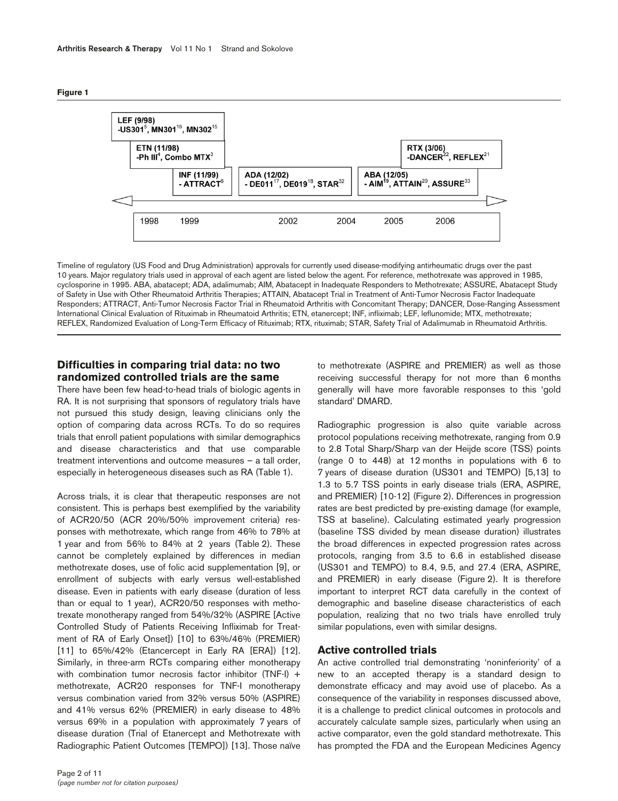



Timeline of regulatory (US Food and Drug Administration) approvals for currently used disease-modifying antirheumatic drugs over the past 10 years. Major regulatory trials used in approval of each agent are listed below the agent. For reference, methotrexate was approved in 1985, cyclosporine in 1995. ABA, abatacept; ADA, adalimumab; AIM, Abatacept in Inadequate Responders to Methotrexate; ASSURE, Abatacept Study of Safety in Use with Other Rheumatoid Arthritis Therapies; ATTAIN, Abatacept Trial in Treatment of Anti-Tumor Necrosis Factor Inadequate Responders; ATTRACT, Anti-Tumor Necrosis Factor Trial in Rheumatoid Arthritis with Concomitant Therapy; DANCER, Dose-Ranging Assessment International Clinical Evaluation of Rituximab in Rheumatoid Arthritis; ETN, etanercept; INF, infliximab; LEF, leflunomide; MTX, methotrexate; REFLEX, Randomized Evaluation of Long-Term Efficacy of Rituximab; RTX, rituximab; STAR, Safety Trial of Adalimumab in Rheumatoid Arthritis.

# **Difficulties in comparing trial data: no two randomized controlled trials are the same**

There have been few head-to-head trials of biologic agents in RA. It is not surprising that sponsors of regulatory trials have not pursued this study design, leaving clinicians only the option of comparing data across RCTs. To do so requires trials that enroll patient populations with similar demographics and disease characteristics and that use comparable treatment interventions and outcome measures – a tall order, especially in heterogeneous diseases such as RA (Table 1).

Across trials, it is clear that therapeutic responses are not consistent. This is perhaps best exemplified by the variability of ACR20/50 (ACR 20%/50% improvement criteria) responses with methotrexate, which range from 46% to 78% at 1 year and from 56% to 84% at 2 years (Table 2). These cannot be completely explained by differences in median methotrexate doses, use of folic acid supplementation [9], or enrollment of subjects with early versus well-established disease. Even in patients with early disease (duration of less than or equal to 1 year), ACR20/50 responses with methotrexate monotherapy ranged from 54%/32% (ASPIRE [Active Controlled Study of Patients Receiving Infliximab for Treatment of RA of Early Onset]) [10] to 63%/46% (PREMIER) [11] to 65%/42% (Etancercept in Early RA [ERA]) [12]. Similarly, in three-arm RCTs comparing either monotherapy with combination tumor necrosis factor inhibitor (TNF-I) + methotrexate, ACR20 responses for TNF-I monotherapy versus combination varied from 32% versus 50% (ASPIRE) and 41% versus 62% (PREMIER) in early disease to 48% versus 69% in a population with approximately 7 years of disease duration (Trial of Etanercept and Methotrexate with Radiographic Patient Outcomes [TEMPO]) [13]. Those naïve

to methotrexate (ASPIRE and PREMIER) as well as those receiving successful therapy for not more than 6 months generally will have more favorable responses to this 'gold standard' DMARD.

Radiographic progression is also quite variable across protocol populations receiving methotrexate, ranging from 0.9 to 2.8 Total Sharp/Sharp van der Heijde score (TSS) points (range 0 to 448) at 12 months in populations with 6 to 7 years of disease duration (US301 and TEMPO) [5,13] to 1.3 to 5.7 TSS points in early disease trials (ERA, ASPIRE, and PREMIER) [10-12] (Figure 2). Differences in progression rates are best predicted by pre-existing damage (for example, TSS at baseline). Calculating estimated yearly progression (baseline TSS divided by mean disease duration) illustrates the broad differences in expected progression rates across protocols, ranging from 3.5 to 6.6 in established disease (US301 and TEMPO) to 8.4, 9.5, and 27.4 (ERA, ASPIRE, and PREMIER) in early disease (Figure 2). It is therefore important to interpret RCT data carefully in the context of demographic and baseline disease characteristics of each population, realizing that no two trials have enrolled truly similar populations, even with similar designs.

#### **Active controlled trials**

An active controlled trial demonstrating 'noninferiority' of a new to an accepted therapy is a standard design to demonstrate efficacy and may avoid use of placebo. As a consequence of the variability in responses discussed above, it is a challenge to predict clinical outcomes in protocols and accurately calculate sample sizes, particularly when using an active comparator, even the gold standard methotrexate. This has prompted the FDA and the European Medicines Agency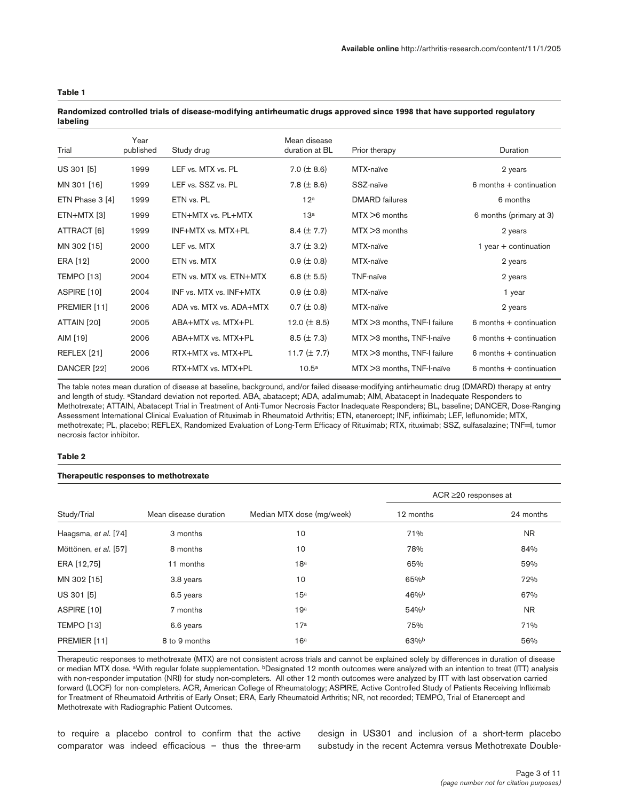#### **Table 1**

**Randomized controlled trials of disease-modifying antirheumatic drugs approved since 1998 that have supported regulatory labeling**

| Trial           | Year<br>published | Study drug              | Mean disease<br>duration at BL | Prior therapy                   | Duration                    |
|-----------------|-------------------|-------------------------|--------------------------------|---------------------------------|-----------------------------|
| US 301 [5]      | 1999              | LEF vs. MTX vs. PL      | 7.0 ( $\pm$ 8.6)               | MTX-naïve                       | 2 years                     |
| MN 301 [16]     | 1999              | LEF vs. SSZ vs. PL      | 7.8 $(\pm 8.6)$                | SSZ-naïve                       | 6 months + continuation     |
| ETN Phase 3 [4] | 1999              | ETN vs. PL              | 12 <sup>a</sup>                | <b>DMARD</b> failures           | 6 months                    |
| ETN+MTX [3]     | 1999              | ETN+MTX vs. PL+MTX      | 13 <sup>a</sup>                | $MTX > 6$ months                | 6 months (primary at 3)     |
| ATTRACT [6]     | 1999              | INF+MTX vs. MTX+PL      | 8.4 $(\pm 7.7)$                | $MTX > 3$ months                | 2 years                     |
| MN 302 [15]     | 2000              | LEF vs. MTX             | $3.7 (\pm 3.2)$                | MTX-naïve                       | 1 year $+$ continuation     |
| ERA [12]        | 2000              | ETN vs. MTX             | $0.9 (\pm 0.8)$                | MTX-naïve                       | 2 years                     |
| TEMPO [13]      | 2004              | ETN vs. MTX vs. ETN+MTX | 6.8 $(\pm 5.5)$                | TNF-naïve                       | 2 years                     |
| ASPIRE [10]     | 2004              | INF vs. MTX vs. INF+MTX | $0.9 (\pm 0.8)$                | MTX-naïve                       | 1 year                      |
| PREMIER [11]    | 2006              | ADA vs. MTX vs. ADA+MTX | $0.7 (\pm 0.8)$                | MTX-naïve                       | 2 years                     |
| ATTAIN [20]     | 2005              | ABA+MTX vs. MTX+PL      | 12.0 $(\pm 8.5)$               | MTX >3 months, TNF-I failure    | $6$ months $+$ continuation |
| AIM [19]        | 2006              | ABA+MTX vs. MTX+PL      | 8.5 $(\pm 7.3)$                | MTX >3 months, TNF-I-naïve      | $6$ months $+$ continuation |
| REFLEX [21]     | 2006              | RTX+MTX vs. MTX+PL      | 11.7 $(\pm 7.7)$               | $MTX > 3$ months, TNF-I failure | $6$ months $+$ continuation |
| DANCER [22]     | 2006              | RTX+MTX vs. MTX+PL      | 10.5 <sup>a</sup>              | MTX >3 months, TNF-I-naïve      | $6$ months $+$ continuation |

The table notes mean duration of disease at baseline, background, and/or failed disease-modifying antirheumatic drug (DMARD) therapy at entry and length of study. <sup>a</sup>Standard deviation not reported. ABA, abatacept; ADA, adalimumab; AIM, Abatacept in Inadequate Responders to Methotrexate; ATTAIN, Abatacept Trial in Treatment of Anti-Tumor Necrosis Factor Inadequate Responders; BL, baseline; DANCER, Dose-Ranging Assessment International Clinical Evaluation of Rituximab in Rheumatoid Arthritis; ETN, etanercept; INF, infliximab; LEF, leflunomide; MTX, methotrexate; PL, placebo; REFLEX, Randomized Evaluation of Long-Term Efficacy of Rituximab; RTX, rituximab; SSZ, sulfasalazine; TNF=I, tumor necrosis factor inhibitor.

#### **Table 2**

#### **Therapeutic responses to methotrexate**

|                       |                       |                           | ACR $\geq$ 20 responses at |           |
|-----------------------|-----------------------|---------------------------|----------------------------|-----------|
| Study/Trial           | Mean disease duration | Median MTX dose (mg/week) | 12 months                  | 24 months |
| Haagsma, et al. [74]  | 3 months              | 10                        | 71%                        | <b>NR</b> |
| Möttönen, et al. [57] | 8 months              | 10                        | 78%                        | 84%       |
| ERA [12,75]           | 11 months             | 18 <sup>a</sup>           | 65%                        | 59%       |
| MN 302 [15]           | 3.8 years             | 10                        | 65%                        | 72%       |
| US 301 [5]            | 6.5 years             | 15 <sup>a</sup>           | 46%b                       | 67%       |
| ASPIRE [10]           | 7 months              | 19a                       | 54%b                       | <b>NR</b> |
| <b>TEMPO [13]</b>     | 6.6 years             | 17 <sup>a</sup>           | 75%                        | 71%       |
| PREMIER [11]          | 8 to 9 months         | 16 <sup>a</sup>           | 63%                        | 56%       |

Therapeutic responses to methotrexate (MTX) are not consistent across trials and cannot be explained solely by differences in duration of disease or median MTX dose. <sup>a</sup>With regular folate supplementation. <sup>b</sup>Designated 12 month outcomes were analyzed with an intention to treat (ITT) analysis with non-responder imputation (NRI) for study non-completers. All other 12 month outcomes were analyzed by ITT with last observation carried forward (LOCF) for non-completers. ACR, American College of Rheumatology; ASPIRE, Active Controlled Study of Patients Receiving Infliximab for Treatment of Rheumatoid Arthritis of Early Onset; ERA, Early Rheumatoid Arthritis; NR, not recorded; TEMPO, Trial of Etanercept and Methotrexate with Radiographic Patient Outcomes.

to require a placebo control to confirm that the active comparator was indeed efficacious – thus the three-arm

design in US301 and inclusion of a short-term placebo substudy in the recent Actemra versus Methotrexate Double-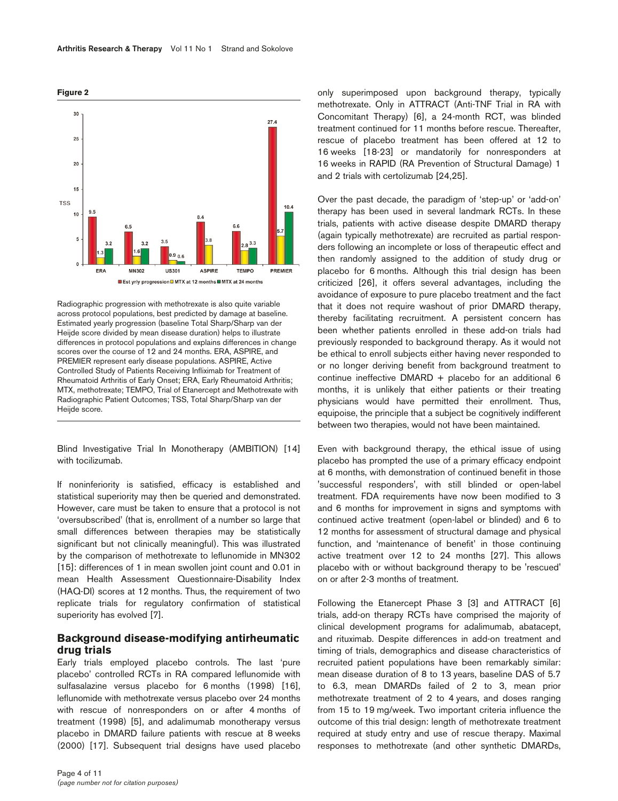

Radiographic progression with methotrexate is also quite variable across protocol populations, best predicted by damage at baseline. Estimated yearly progression (baseline Total Sharp/Sharp van der Heijde score divided by mean disease duration) helps to illustrate differences in protocol populations and explains differences in change scores over the course of 12 and 24 months. ERA, ASPIRE, and PREMIER represent early disease populations. ASPIRE, Active Controlled Study of Patients Receiving Infliximab for Treatment of Rheumatoid Arthritis of Early Onset; ERA, Early Rheumatoid Arthritis; MTX, methotrexate; TEMPO, Trial of Etanercept and Methotrexate with Radiographic Patient Outcomes; TSS, Total Sharp/Sharp van der Heijde score.

Blind Investigative Trial In Monotherapy (AMBITION) [14] with tocilizumab.

If noninferiority is satisfied, efficacy is established and statistical superiority may then be queried and demonstrated. However, care must be taken to ensure that a protocol is not 'oversubscribed' (that is, enrollment of a number so large that small differences between therapies may be statistically significant but not clinically meaningful). This was illustrated by the comparison of methotrexate to leflunomide in MN302 [15]: differences of 1 in mean swollen joint count and 0.01 in mean Health Assessment Questionnaire-Disability Index (HAQ-DI) scores at 12 months. Thus, the requirement of two replicate trials for regulatory confirmation of statistical superiority has evolved [7].

### **Background disease-modifying antirheumatic drug trials**

Early trials employed placebo controls. The last 'pure placebo' controlled RCTs in RA compared leflunomide with sulfasalazine versus placebo for 6 months (1998) [16], leflunomide with methotrexate versus placebo over 24 months with rescue of nonresponders on or after 4 months of treatment (1998) [5], and adalimumab monotherapy versus placebo in DMARD failure patients with rescue at 8 weeks (2000) [17]. Subsequent trial designs have used placebo

only superimposed upon background therapy, typically methotrexate. Only in ATTRACT (Anti-TNF Trial in RA with Concomitant Therapy) [6], a 24-month RCT, was blinded treatment continued for 11 months before rescue. Thereafter, rescue of placebo treatment has been offered at 12 to 16 weeks [18-23] or mandatorily for nonresponders at 16 weeks in RAPID (RA Prevention of Structural Damage) 1 and 2 trials with certolizumab [24,25].

Over the past decade, the paradigm of 'step-up' or 'add-on' therapy has been used in several landmark RCTs. In these trials, patients with active disease despite DMARD therapy (again typically methotrexate) are recruited as partial responders following an incomplete or loss of therapeutic effect and then randomly assigned to the addition of study drug or placebo for 6 months. Although this trial design has been criticized [26], it offers several advantages, including the avoidance of exposure to pure placebo treatment and the fact that it does not require washout of prior DMARD therapy, thereby facilitating recruitment. A persistent concern has been whether patients enrolled in these add-on trials had previously responded to background therapy. As it would not be ethical to enroll subjects either having never responded to or no longer deriving benefit from background treatment to continue ineffective DMARD + placebo for an additional 6 months, it is unlikely that either patients or their treating physicians would have permitted their enrollment. Thus, equipoise, the principle that a subject be cognitively indifferent between two therapies, would not have been maintained.

Even with background therapy, the ethical issue of using placebo has prompted the use of a primary efficacy endpoint at 6 months, with demonstration of continued benefit in those 'successful responders', with still blinded or open-label treatment. FDA requirements have now been modified to 3 and 6 months for improvement in signs and symptoms with continued active treatment (open-label or blinded) and 6 to 12 months for assessment of structural damage and physical function, and 'maintenance of benefit' in those continuing active treatment over 12 to 24 months [27]. This allows placebo with or without background therapy to be 'rescued' on or after 2-3 months of treatment.

Following the Etanercept Phase 3 [3] and ATTRACT [6] trials, add-on therapy RCTs have comprised the majority of clinical development programs for adalimumab, abatacept, and rituximab. Despite differences in add-on treatment and timing of trials, demographics and disease characteristics of recruited patient populations have been remarkably similar: mean disease duration of 8 to 13 years, baseline DAS of 5.7 to 6.3, mean DMARDs failed of 2 to 3, mean prior methotrexate treatment of 2 to 4 years, and doses ranging from 15 to 19 mg/week. Two important criteria influence the outcome of this trial design: length of methotrexate treatment required at study entry and use of rescue therapy. Maximal responses to methotrexate (and other synthetic DMARDs,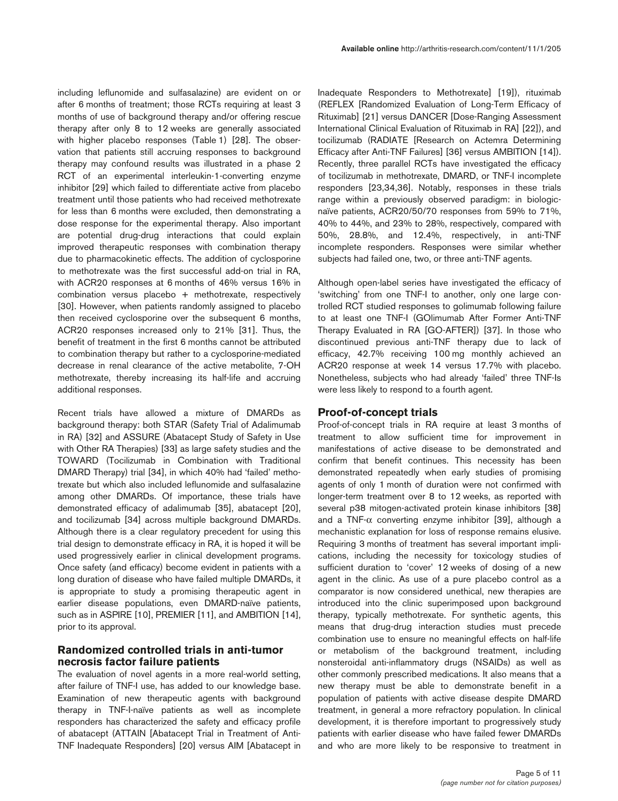including leflunomide and sulfasalazine) are evident on or after 6 months of treatment; those RCTs requiring at least 3 months of use of background therapy and/or offering rescue therapy after only 8 to 12 weeks are generally associated with higher placebo responses (Table 1) [28]. The observation that patients still accruing responses to background therapy may confound results was illustrated in a phase 2 RCT of an experimental interleukin-1-converting enzyme inhibitor [29] which failed to differentiate active from placebo treatment until those patients who had received methotrexate for less than 6 months were excluded, then demonstrating a dose response for the experimental therapy. Also important are potential drug-drug interactions that could explain improved therapeutic responses with combination therapy due to pharmacokinetic effects. The addition of cyclosporine to methotrexate was the first successful add-on trial in RA, with ACR20 responses at 6 months of 46% versus 16% in combination versus placebo + methotrexate, respectively [30]. However, when patients randomly assigned to placebo then received cyclosporine over the subsequent 6 months, ACR20 responses increased only to 21% [31]. Thus, the benefit of treatment in the first 6 months cannot be attributed to combination therapy but rather to a cyclosporine-mediated decrease in renal clearance of the active metabolite, 7-OH methotrexate, thereby increasing its half-life and accruing additional responses.

Recent trials have allowed a mixture of DMARDs as background therapy: both STAR (Safety Trial of Adalimumab in RA) [32] and ASSURE (Abatacept Study of Safety in Use with Other RA Therapies) [33] as large safety studies and the TOWARD (Tocilizumab in Combination with Traditional DMARD Therapy) trial [34], in which 40% had 'failed' methotrexate but which also included leflunomide and sulfasalazine among other DMARDs. Of importance, these trials have demonstrated efficacy of adalimumab [35], abatacept [20], and tocilizumab [34] across multiple background DMARDs. Although there is a clear regulatory precedent for using this trial design to demonstrate efficacy in RA, it is hoped it will be used progressively earlier in clinical development programs. Once safety (and efficacy) become evident in patients with a long duration of disease who have failed multiple DMARDs, it is appropriate to study a promising therapeutic agent in earlier disease populations, even DMARD-naïve patients, such as in ASPIRE [10], PREMIER [11], and AMBITION [14], prior to its approval.

# **Randomized controlled trials in anti-tumor necrosis factor failure patients**

The evaluation of novel agents in a more real-world setting, after failure of TNF-I use, has added to our knowledge base. Examination of new therapeutic agents with background therapy in TNF-I-naïve patients as well as incomplete responders has characterized the safety and efficacy profile of abatacept (ATTAIN [Abatacept Trial in Treatment of Anti-TNF Inadequate Responders] [20] versus AIM [Abatacept in Inadequate Responders to Methotrexate] [19]), rituximab (REFLEX [Randomized Evaluation of Long-Term Efficacy of Rituximab] [21] versus DANCER [Dose-Ranging Assessment International Clinical Evaluation of Rituximab in RA] [22]), and tocilizumab (RADIATE [Research on Actemra Determining Efficacy after Anti-TNF Failures] [36] versus AMBITION [14]). Recently, three parallel RCTs have investigated the efficacy of tocilizumab in methotrexate, DMARD, or TNF-I incomplete responders [23,34,36]. Notably, responses in these trials range within a previously observed paradigm: in biologicnaïve patients, ACR20/50/70 responses from 59% to 71%, 40% to 44%, and 23% to 28%, respectively, compared with 50%, 28.8%, and 12.4%, respectively, in anti-TNF incomplete responders. Responses were similar whether subjects had failed one, two, or three anti-TNF agents.

Although open-label series have investigated the efficacy of 'switching' from one TNF-I to another, only one large controlled RCT studied responses to golimumab following failure to at least one TNF-I (GOlimumab After Former Anti-TNF Therapy Evaluated in RA [GO-AFTER]) [37]. In those who discontinued previous anti-TNF therapy due to lack of efficacy, 42.7% receiving 100 mg monthly achieved an ACR20 response at week 14 versus 17.7% with placebo. Nonetheless, subjects who had already 'failed' three TNF-Is were less likely to respond to a fourth agent.

# **Proof-of-concept trials**

Proof-of-concept trials in RA require at least 3 months of treatment to allow sufficient time for improvement in manifestations of active disease to be demonstrated and confirm that benefit continues. This necessity has been demonstrated repeatedly when early studies of promising agents of only 1 month of duration were not confirmed with longer-term treatment over 8 to 12 weeks, as reported with several p38 mitogen-activated protein kinase inhibitors [38] and a TNF- $\alpha$  converting enzyme inhibitor [39], although a mechanistic explanation for loss of response remains elusive. Requiring 3 months of treatment has several important implications, including the necessity for toxicology studies of sufficient duration to 'cover' 12 weeks of dosing of a new agent in the clinic. As use of a pure placebo control as a comparator is now considered unethical, new therapies are introduced into the clinic superimposed upon background therapy, typically methotrexate. For synthetic agents, this means that drug-drug interaction studies must precede combination use to ensure no meaningful effects on half-life or metabolism of the background treatment, including nonsteroidal anti-inflammatory drugs (NSAIDs) as well as other commonly prescribed medications. It also means that a new therapy must be able to demonstrate benefit in a population of patients with active disease despite DMARD treatment, in general a more refractory population. In clinical development, it is therefore important to progressively study patients with earlier disease who have failed fewer DMARDs and who are more likely to be responsive to treatment in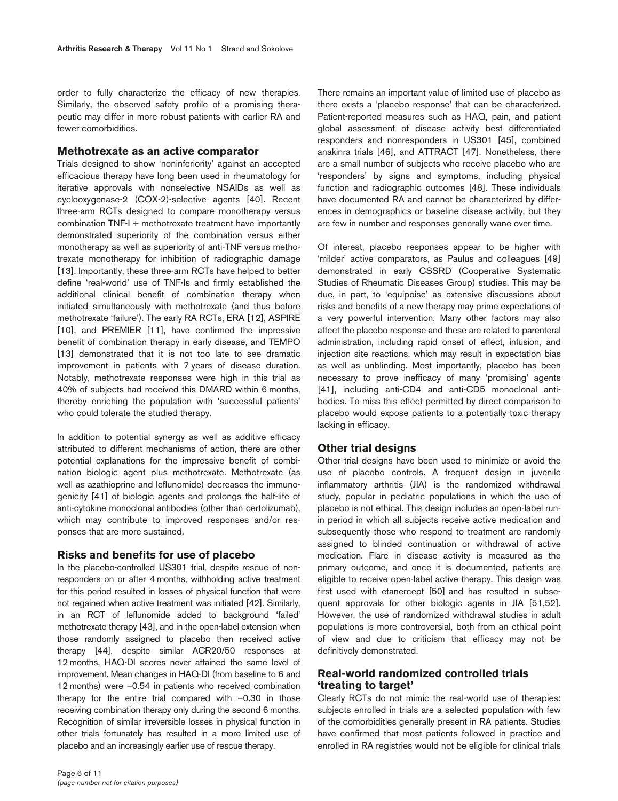order to fully characterize the efficacy of new therapies. Similarly, the observed safety profile of a promising therapeutic may differ in more robust patients with earlier RA and fewer comorbidities.

#### **Methotrexate as an active comparator**

Trials designed to show 'noninferiority' against an accepted efficacious therapy have long been used in rheumatology for iterative approvals with nonselective NSAIDs as well as cyclooxygenase-2 (COX-2)-selective agents [40]. Recent three-arm RCTs designed to compare monotherapy versus combination TNF-I + methotrexate treatment have importantly demonstrated superiority of the combination versus either monotherapy as well as superiority of anti-TNF versus methotrexate monotherapy for inhibition of radiographic damage [13]. Importantly, these three-arm RCTs have helped to better define 'real-world' use of TNF-Is and firmly established the additional clinical benefit of combination therapy when initiated simultaneously with methotrexate (and thus before methotrexate 'failure'). The early RA RCTs, ERA [12], ASPIRE [10], and PREMIER [11], have confirmed the impressive benefit of combination therapy in early disease, and TEMPO [13] demonstrated that it is not too late to see dramatic improvement in patients with 7 years of disease duration. Notably, methotrexate responses were high in this trial as 40% of subjects had received this DMARD within 6 months, thereby enriching the population with 'successful patients' who could tolerate the studied therapy.

In addition to potential synergy as well as additive efficacy attributed to different mechanisms of action, there are other potential explanations for the impressive benefit of combination biologic agent plus methotrexate. Methotrexate (as well as azathioprine and leflunomide) decreases the immunogenicity [41] of biologic agents and prolongs the half-life of anti-cytokine monoclonal antibodies (other than certolizumab), which may contribute to improved responses and/or responses that are more sustained.

#### **Risks and benefits for use of placebo**

In the placebo-controlled US301 trial, despite rescue of nonresponders on or after 4 months, withholding active treatment for this period resulted in losses of physical function that were not regained when active treatment was initiated [42]. Similarly, in an RCT of leflunomide added to background 'failed' methotrexate therapy [43], and in the open-label extension when those randomly assigned to placebo then received active therapy [44], despite similar ACR20/50 responses at 12 months, HAQ-DI scores never attained the same level of improvement. Mean changes in HAQ-DI (from baseline to 6 and 12 months) were –0.54 in patients who received combination therapy for the entire trial compared with –0.30 in those receiving combination therapy only during the second 6 months. Recognition of similar irreversible losses in physical function in other trials fortunately has resulted in a more limited use of placebo and an increasingly earlier use of rescue therapy.

There remains an important value of limited use of placebo as there exists a 'placebo response' that can be characterized. Patient-reported measures such as HAQ, pain, and patient global assessment of disease activity best differentiated responders and nonresponders in US301 [45], combined anakinra trials [46], and ATTRACT [47]. Nonetheless, there are a small number of subjects who receive placebo who are 'responders' by signs and symptoms, including physical function and radiographic outcomes [48]. These individuals have documented RA and cannot be characterized by differences in demographics or baseline disease activity, but they are few in number and responses generally wane over time.

Of interest, placebo responses appear to be higher with 'milder' active comparators, as Paulus and colleagues [49] demonstrated in early CSSRD (Cooperative Systematic Studies of Rheumatic Diseases Group) studies. This may be due, in part, to 'equipoise' as extensive discussions about risks and benefits of a new therapy may prime expectations of a very powerful intervention. Many other factors may also affect the placebo response and these are related to parenteral administration, including rapid onset of effect, infusion, and injection site reactions, which may result in expectation bias as well as unblinding. Most importantly, placebo has been necessary to prove inefficacy of many 'promising' agents [41], including anti-CD4 and anti-CD5 monoclonal antibodies. To miss this effect permitted by direct comparison to placebo would expose patients to a potentially toxic therapy lacking in efficacy.

#### **Other trial designs**

Other trial designs have been used to minimize or avoid the use of placebo controls. A frequent design in juvenile inflammatory arthritis (JIA) is the randomized withdrawal study, popular in pediatric populations in which the use of placebo is not ethical. This design includes an open-label runin period in which all subjects receive active medication and subsequently those who respond to treatment are randomly assigned to blinded continuation or withdrawal of active medication. Flare in disease activity is measured as the primary outcome, and once it is documented, patients are eligible to receive open-label active therapy. This design was first used with etanercept [50] and has resulted in subsequent approvals for other biologic agents in JIA [51,52]. However, the use of randomized withdrawal studies in adult populations is more controversial, both from an ethical point of view and due to criticism that efficacy may not be definitively demonstrated.

# **Real-world randomized controlled trials 'treating to target'**

Clearly RCTs do not mimic the real-world use of therapies: subjects enrolled in trials are a selected population with few of the comorbidities generally present in RA patients. Studies have confirmed that most patients followed in practice and enrolled in RA registries would not be eligible for clinical trials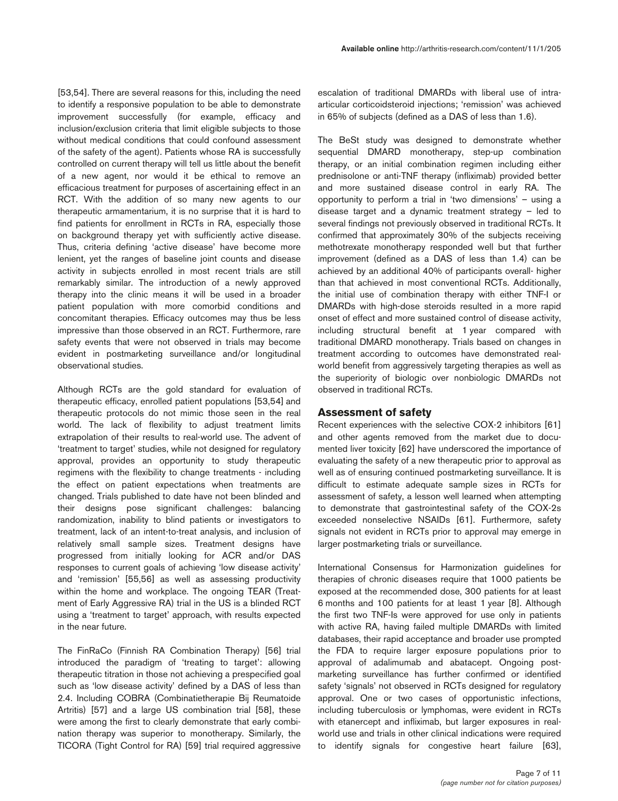[53,54]. There are several reasons for this, including the need to identify a responsive population to be able to demonstrate improvement successfully (for example, efficacy and inclusion/exclusion criteria that limit eligible subjects to those without medical conditions that could confound assessment of the safety of the agent). Patients whose RA is successfully controlled on current therapy will tell us little about the benefit of a new agent, nor would it be ethical to remove an efficacious treatment for purposes of ascertaining effect in an RCT. With the addition of so many new agents to our therapeutic armamentarium, it is no surprise that it is hard to find patients for enrollment in RCTs in RA, especially those on background therapy yet with sufficiently active disease. Thus, criteria defining 'active disease' have become more lenient, yet the ranges of baseline joint counts and disease activity in subjects enrolled in most recent trials are still remarkably similar. The introduction of a newly approved therapy into the clinic means it will be used in a broader patient population with more comorbid conditions and concomitant therapies. Efficacy outcomes may thus be less impressive than those observed in an RCT. Furthermore, rare safety events that were not observed in trials may become evident in postmarketing surveillance and/or longitudinal observational studies.

Although RCTs are the gold standard for evaluation of therapeutic efficacy, enrolled patient populations [53,54] and therapeutic protocols do not mimic those seen in the real world. The lack of flexibility to adjust treatment limits extrapolation of their results to real-world use. The advent of 'treatment to target' studies, while not designed for regulatory approval, provides an opportunity to study therapeutic regimens with the flexibility to change treatments - including the effect on patient expectations when treatments are changed. Trials published to date have not been blinded and their designs pose significant challenges: balancing randomization, inability to blind patients or investigators to treatment, lack of an intent-to-treat analysis, and inclusion of relatively small sample sizes. Treatment designs have progressed from initially looking for ACR and/or DAS responses to current goals of achieving 'low disease activity' and 'remission' [55,56] as well as assessing productivity within the home and workplace. The ongoing TEAR (Treatment of Early Aggressive RA) trial in the US is a blinded RCT using a 'treatment to target' approach, with results expected in the near future.

The FinRaCo (Finnish RA Combination Therapy) [56] trial introduced the paradigm of 'treating to target': allowing therapeutic titration in those not achieving a prespecified goal such as 'low disease activity' defined by a DAS of less than 2.4. Including COBRA (Combinatietherapie Bij Reumatoide Artritis) [57] and a large US combination trial [58], these were among the first to clearly demonstrate that early combination therapy was superior to monotherapy. Similarly, the TICORA (Tight Control for RA) [59] trial required aggressive

escalation of traditional DMARDs with liberal use of intraarticular corticoidsteroid injections; 'remission' was achieved in 65% of subjects (defined as a DAS of less than 1.6).

The BeSt study was designed to demonstrate whether sequential DMARD monotherapy, step-up combination therapy, or an initial combination regimen including either prednisolone or anti-TNF therapy (infliximab) provided better and more sustained disease control in early RA. The opportunity to perform a trial in 'two dimensions' – using a disease target and a dynamic treatment strategy – led to several findings not previously observed in traditional RCTs. It confirmed that approximately 30% of the subjects receiving methotrexate monotherapy responded well but that further improvement (defined as a DAS of less than 1.4) can be achieved by an additional 40% of participants overall- higher than that achieved in most conventional RCTs. Additionally, the initial use of combination therapy with either TNF-I or DMARDs with high-dose steroids resulted in a more rapid onset of effect and more sustained control of disease activity, including structural benefit at 1 year compared with traditional DMARD monotherapy. Trials based on changes in treatment according to outcomes have demonstrated realworld benefit from aggressively targeting therapies as well as the superiority of biologic over nonbiologic DMARDs not observed in traditional RCTs.

# **Assessment of safety**

Recent experiences with the selective COX-2 inhibitors [61] and other agents removed from the market due to documented liver toxicity [62] have underscored the importance of evaluating the safety of a new therapeutic prior to approval as well as of ensuring continued postmarketing surveillance. It is difficult to estimate adequate sample sizes in RCTs for assessment of safety, a lesson well learned when attempting to demonstrate that gastrointestinal safety of the COX-2s exceeded nonselective NSAIDs [61]. Furthermore, safety signals not evident in RCTs prior to approval may emerge in larger postmarketing trials or surveillance.

International Consensus for Harmonization guidelines for therapies of chronic diseases require that 1000 patients be exposed at the recommended dose, 300 patients for at least 6 months and 100 patients for at least 1 year [8]. Although the first two TNF-Is were approved for use only in patients with active RA, having failed multiple DMARDs with limited databases, their rapid acceptance and broader use prompted the FDA to require larger exposure populations prior to approval of adalimumab and abatacept. Ongoing postmarketing surveillance has further confirmed or identified safety 'signals' not observed in RCTs designed for regulatory approval. One or two cases of opportunistic infections, including tuberculosis or lymphomas, were evident in RCTs with etanercept and infliximab, but larger exposures in realworld use and trials in other clinical indications were required to identify signals for congestive heart failure [63],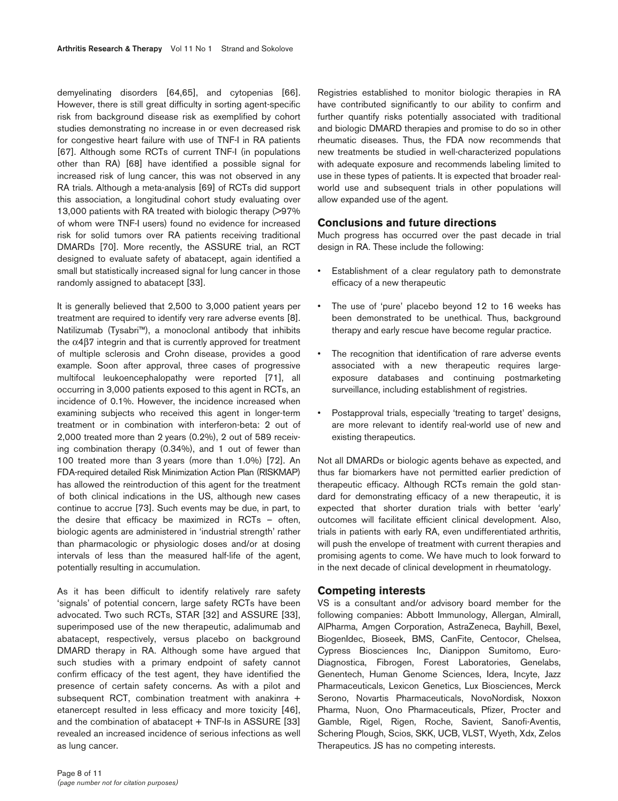demyelinating disorders [64,65], and cytopenias [66]. However, there is still great difficulty in sorting agent-specific risk from background disease risk as exemplified by cohort studies demonstrating no increase in or even decreased risk for congestive heart failure with use of TNF-I in RA patients [67]. Although some RCTs of current TNF-I (in populations other than RA) [68] have identified a possible signal for increased risk of lung cancer, this was not observed in any RA trials. Although a meta-analysis [69] of RCTs did support this association, a longitudinal cohort study evaluating over 13,000 patients with RA treated with biologic therapy (>97%) of whom were TNF-I users) found no evidence for increased risk for solid tumors over RA patients receiving traditional DMARDs [70]. More recently, the ASSURE trial, an RCT designed to evaluate safety of abatacept, again identified a small but statistically increased signal for lung cancer in those randomly assigned to abatacept [33].

It is generally believed that 2,500 to 3,000 patient years per treatment are required to identify very rare adverse events [8]. Natilizumab (Tysabri™), a monoclonal antibody that inhibits the  $\alpha$ 4 $\beta$ 7 integrin and that is currently approved for treatment of multiple sclerosis and Crohn disease, provides a good example. Soon after approval, three cases of progressive multifocal leukoencephalopathy were reported [71], all occurring in 3,000 patients exposed to this agent in RCTs, an incidence of 0.1%. However, the incidence increased when examining subjects who received this agent in longer-term treatment or in combination with interferon-beta: 2 out of 2,000 treated more than 2 years (0.2%), 2 out of 589 receiving combination therapy (0.34%), and 1 out of fewer than 100 treated more than 3 years (more than 1.0%) [72]. An FDA-required detailed Risk Minimization Action Plan (RISKMAP) has allowed the reintroduction of this agent for the treatment of both clinical indications in the US, although new cases continue to accrue [73]. Such events may be due, in part, to the desire that efficacy be maximized in RCTs  $-$  often, biologic agents are administered in 'industrial strength' rather than pharmacologic or physiologic doses and/or at dosing intervals of less than the measured half-life of the agent, potentially resulting in accumulation.

As it has been difficult to identify relatively rare safety 'signals' of potential concern, large safety RCTs have been advocated. Two such RCTs, STAR [32] and ASSURE [33], superimposed use of the new therapeutic, adalimumab and abatacept, respectively, versus placebo on background DMARD therapy in RA. Although some have argued that such studies with a primary endpoint of safety cannot confirm efficacy of the test agent, they have identified the presence of certain safety concerns. As with a pilot and subsequent RCT, combination treatment with anakinra + etanercept resulted in less efficacy and more toxicity [46], and the combination of abatacept + TNF-Is in ASSURE [33] revealed an increased incidence of serious infections as well as lung cancer.

Registries established to monitor biologic therapies in RA have contributed significantly to our ability to confirm and further quantify risks potentially associated with traditional and biologic DMARD therapies and promise to do so in other rheumatic diseases. Thus, the FDA now recommends that new treatments be studied in well-characterized populations with adequate exposure and recommends labeling limited to use in these types of patients. It is expected that broader realworld use and subsequent trials in other populations will allow expanded use of the agent.

#### **Conclusions and future directions**

Much progress has occurred over the past decade in trial design in RA. These include the following:

- Establishment of a clear regulatory path to demonstrate efficacy of a new therapeutic
- The use of 'pure' placebo beyond 12 to 16 weeks has been demonstrated to be unethical. Thus, background therapy and early rescue have become regular practice.
- The recognition that identification of rare adverse events associated with a new therapeutic requires largeexposure databases and continuing postmarketing surveillance, including establishment of registries.
- Postapproval trials, especially 'treating to target' designs, are more relevant to identify real-world use of new and existing therapeutics.

Not all DMARDs or biologic agents behave as expected, and thus far biomarkers have not permitted earlier prediction of therapeutic efficacy. Although RCTs remain the gold standard for demonstrating efficacy of a new therapeutic, it is expected that shorter duration trials with better 'early' outcomes will facilitate efficient clinical development. Also, trials in patients with early RA, even undifferentiated arthritis, will push the envelope of treatment with current therapies and promising agents to come. We have much to look forward to in the next decade of clinical development in rheumatology.

## **Competing interests**

VS is a consultant and/or advisory board member for the following companies: Abbott Immunology, Allergan, Almirall, AlPharma, Amgen Corporation, AstraZeneca, Bayhill, Bexel, BiogenIdec, Bioseek, BMS, CanFite, Centocor, Chelsea, Cypress Biosciences Inc, Dianippon Sumitomo, Euro-Diagnostica, Fibrogen, Forest Laboratories, Genelabs, Genentech, Human Genome Sciences, Idera, Incyte, Jazz Pharmaceuticals, Lexicon Genetics, Lux Biosciences, Merck Serono, Novartis Pharmaceuticals, NovoNordisk, Noxxon Pharma, Nuon, Ono Pharmaceuticals, Pfizer, Procter and Gamble, Rigel, Rigen, Roche, Savient, Sanofi-Aventis, Schering Plough, Scios, SKK, UCB, VLST, Wyeth, Xdx, Zelos Therapeutics. JS has no competing interests.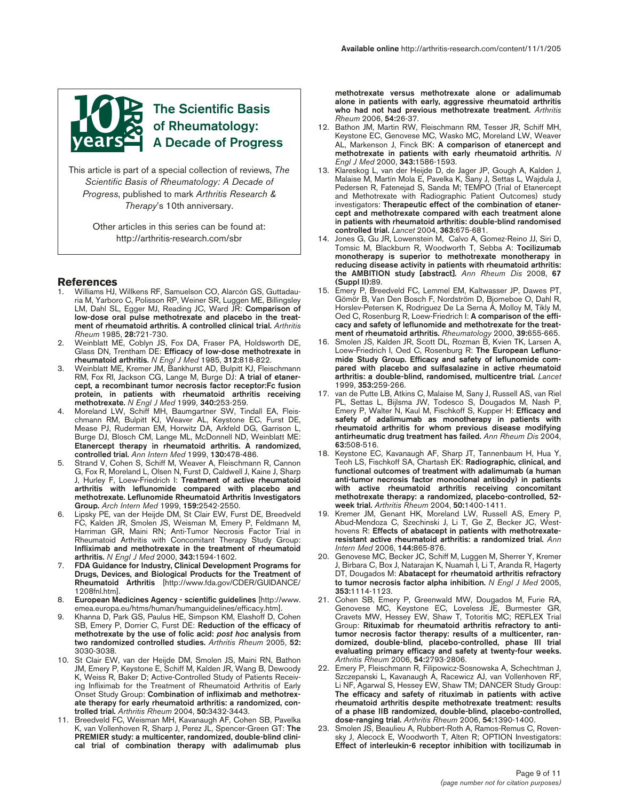# **The Scientific Basis of Rheumatology: A Decade of Progress**

This article is part of a special collection of reviews, *The Scientific Basis of Rheumatology: A Decade of Progress*, published to mark *Arthritis Research & Therapy*'s 10th anniversary.

> Other articles in this series can be found at: http://arthritis-research.com/sbr

#### **References**

- 1. Williams HJ, Willkens RF, Samuelson CO, Alarcón GS, Guttadauria M, Yarboro C, Polisson RP, Weiner SR, Luggen ME, Billingsley LM, Dahl SL, Egger MJ, Reading JC, Ward JR: **Comparison of low-dose oral pulse methotrexate and placebo in the treatment of rheumatoid arthritis. A controlled clinical trial.** *Arthritis Rheum* 1985, **28:**721-730.
- 2. Weinblatt ME, Coblyn JS, Fox DA, Fraser PA, Holdsworth DE, Glass DN, Trentham DE: **Efficacy of low-dose methotrexate in rheumatoid arthritis.** *N Engl J Med* 1985, **312:**818-822.
- 3. Weinblatt ME, Kremer JM, Bankhurst AD, Bulpitt KJ, Fleischmann RM, Fox RI, Jackson CG, Lange M, Burge DJ: **A trial of etanercept, a recombinant tumor necrosis factor receptor:Fc fusion protein, in patients with rheumatoid arthritis receiving methotrexate.** *N Engl J Med* 1999, **340:**253-259.
- 4. Moreland LW, Schiff MH, Baumgartner SW, Tindall EA, Fleischmann RM, Bulpitt KJ, Weaver AL, Keystone EC, Furst DE, Mease PJ, Ruderman EM, Horwitz DA, Arkfeld DG, Garrison L, Burge DJ, Blosch CM, Lange ML, McDonnell ND, Weinblatt ME: **Etanercept therapy in rheumatoid arthritis. A randomized, controlled trial.** *Ann Intern Med* 1999, **130:**478-486.
- 5. Strand V, Cohen S, Schiff M, Weaver A, Fleischmann R, Cannon G, Fox R, Moreland L, Olsen N, Furst D, Caldwell J, Kaine J, Sharp J, Hurley F, Loew-Friedrich I: **Treatment of active rheumatoid arthritis with leflunomide compared with placebo and methotrexate. Leflunomide Rheumatoid Arthritis Investigators Group.** *Arch Intern Med* 1999, **159:**2542-2550.
- 6. Lipsky PE, van der Heijde DM, St Clair EW, Furst DE, Breedveld FC, Kalden JR, Smolen JS, Weisman M, Emery P, Feldmann M, Harriman GR, Maini RN; Anti-Tumor Necrosis Factor Trial in Rheumatoid Arthritis with Concomitant Therapy Study Group: **Infliximab and methotrexate in the treatment of rheumatoid arthritis.** *N Engl J Med* 2000, **343:**1594-1602.
- 7. **FDA Guidance for Industry, Clinical Development Programs for Drugs, Devices, and Biological Products for the Treatment of Rheumatoid Arthritis** [http://www.fda.gov/CDER/GUIDANCE/ 1208fnl.htm].
- 8. **European Medicines Agency scientific guidelines** [http://www. emea.europa.eu/htms/human/humanguidelines/efficacy.htm].
- 9. Khanna D, Park GS, Paulus HE, Simpson KM, Elashoff D, Cohen SB, Emery P, Dorrier C, Furst DE: **Reduction of the efficacy of methotrexate by the use of folic acid:** *post hoc* **analysis from two randomized controlled studies.** *Arthritis Rheum* 2005, **52:** 3030-3038.
- 10. St Clair EW, van der Heijde DM, Smolen JS, Maini RN, Bathon JM, Emery P, Keystone E, Schiff M, Kalden JR, Wang B, Dewoody K, Weiss R, Baker D; Active-Controlled Study of Patients Receiving Infliximab for the Treatment of Rheumatoid Arthritis of Early Onset Study Group: **Combination of infliximab and methotrexate therapy for early rheumatoid arthritis: a randomized, controlled trial.** *Arthritis Rheum* 2004, **50:**3432-3443.
- 11. Breedveld FC, Weisman MH, Kavanaugh AF, Cohen SB, Pavelka K, van Vollenhoven R, Sharp J, Perez JL, Spencer-Green GT: **The PREMIER study: a multicenter, randomized, double-blind clinical trial of combination therapy with adalimumab plus**

**methotrexate versus methotrexate alone or adalimumab alone in patients with early, aggressive rheumatoid arthritis who had not had previous methotrexate treatment.** *Arthritis Rheum* 2006, **54:**26-37.

- 12. Bathon JM, Martin RW, Fleischmann RM, Tesser JR, Schiff MH, Keystone EC, Genovese MC, Wasko MC, Moreland LW, Weaver AL, Markenson J, Finck BK: **A comparison of etanercept and methotrexate in patients with early rheumatoid arthritis.** *N Engl J Med* 2000, **343:**1586-1593.
- Klareskog L, van der Heijde D, de Jager JP, Gough A, Kalden J, Malaise M, Martín Mola E, Pavelka K, Sany J, Settas L, Wajdula J, Pedersen R, Fatenejad S, Sanda M; TEMPO (Trial of Etanercept and Methotrexate with Radiographic Patient Outcomes) study investigators: **Therapeutic effect of the combination of etanercept and methotrexate compared with each treatment alone in patients with rheumatoid arthritis: double-blind randomised controlled trial.** *Lancet* 2004, **363:**675-681.
- 14. Jones G, Gu JR, Lowenstein M, Calvo A, Gomez-Reino JJ, Siri D, Tomsic M, Blackburn R, Woodworth T, Sebba A: **Tocilizumab monotherapy is superior to methotrexate monotherapy in reducing disease activity in patients with rheumatoid arthritis: the AMBITION study [abstract].** *Ann Rheum Dis* 2008, **67 (Suppl II):**89.
- Emery P, Breedveld FC, Lemmel EM, Kaltwasser JP, Dawes PT, Gömör B, Van Den Bosch F, Nordström D, Bjorneboe O, Dahl R, Horslev-Petersen K, Rodriguez De La Serna A, Molloy M, Tikly M, Oed C, Rosenburg R, Loew-Friedrich I: **A comparison of the efficacy and safety of leflunomide and methotrexate for the treatment of rheumatoid arthritis.** *Rheumatology* 2000, **39:**655-665.
- 16. Smolen JS, Kalden JR, Scott DL, Rozman B, Kvien TK, Larsen A, Loew-Friedrich I, Oed C, Rosenburg R: **The European Leflunomide Study Group. Efficacy and safety of leflunomide compared with placebo and sulfasalazine in active rheumatoid arthritis: a double-blind, randomised, multicentre trial.** *Lancet* 1999, **353:**259-266.
- 17. van de Putte LB, Atkins C, Malaise M, Sany J, Russell AS, van Riel PL, Settas L, Bijlsma JW, Todesco S, Dougados M, Nash P, Emery P, Walter N, Kaul M, Fischkoff S, Kupper H: **Efficacy and safety of adalimumab as monotherapy in patients with rheumatoid arthritis for whom previous disease modifying antirheumatic drug treatment has failed.** *Ann Rheum Dis* 2004, **63:**508-516.
- 18. Keystone EC, Kavanaugh AF, Sharp JT, Tannenbaum H, Hua Y, Teoh LS, Fischkoff SA, Chartash EK: **Radiographic, clinical, and functional outcomes of treatment with adalimumab (a human anti-tumor necrosis factor monoclonal antibody) in patients with active rheumatoid arthritis receiving concomitant methotrexate therapy: a randomized, placebo-controlled, 52 week trial.** *Arthritis Rheum* 2004, **50:**1400-1411.
- 19. Kremer JM, Genant HK, Moreland LW, Russell AS, Emery P, Abud-Mendoza C, Szechinski J, Li T, Ge Z, Becker JC, Westhovens R: **Effects of abatacept in patients with methotrexateresistant active rheumatoid arthritis: a randomized trial.** *Ann Intern Med* 2006, **144:**865-876.
- 20. Genovese MC, Becker JC, Schiff M, Luggen M, Sherrer Y, Kremer J, Birbara C, Box J, Natarajan K, Nuamah I, Li T, Aranda R, Hagerty DT, Dougados M: **Abatacept for rheumatoid arthritis refractory to tumor necrosis factor alpha inhibition.** *N Engl J Med* 2005, **353:**1114-1123.
- 21. Cohen SB, Emery P, Greenwald MW, Dougados M, Furie RA, Genovese MC, Keystone EC, Loveless JE, Burmester GR, Cravets MW, Hessey EW, Shaw T, Totoritis MC; REFLEX Trial Group: **Rituximab for rheumatoid arthritis refractory to antitumor necrosis factor therapy: results of a multicenter, randomized, double-blind, placebo-controlled, phase III trial evaluating primary efficacy and safety at twenty-four weeks.** *Arthritis Rheum* 2006, **54:**2793-2806.
- 22. Emery P, Fleischmann R, Filipowicz-Sosnowska A, Schechtman J, Szczepanski L, Kavanaugh A, Racewicz AJ, van Vollenhoven RF, Li NF, Agarwal S, Hessey EW, Shaw TM; DANCER Study Group: **The efficacy and safety of rituximab in patients with active rheumatoid arthritis despite methotrexate treatment: results of a phase IIB randomized, double-blind, placebo-controlled, dose-ranging trial.** *Arthritis Rheum* 2006, **54:**1390-1400.
- Smolen JS, Beaulieu A, Rubbert-Roth A, Ramos-Remus C, Rovensky J, Alecock E, Woodworth T, Alten R; OPTION Investigators: **Effect of interleukin-6 receptor inhibition with tocilizumab in**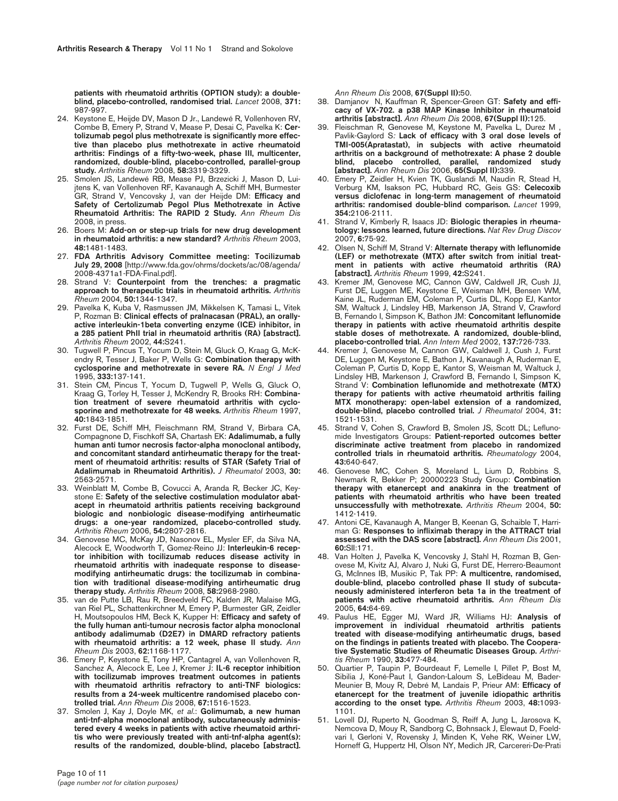**patients with rheumatoid arthritis (OPTION study): a doubleblind, placebo-controlled, randomised trial.** *Lancet* 2008, **371:** 987-997.

- 24. Keystone E, Heijde DV, Mason D Jr., Landewé R, Vollenhoven RV, Combe B, Emery P, Strand V, Mease P, Desai C, Pavelka K: **Certolizumab pegol plus methotrexate is significantly more effective than placebo plus methotrexate in active rheumatoid arthritis: Findings of a fifty-two-week, phase III, multicenter, randomized, double-blind, placebo-controlled, parallel-group study.** *Arthritis Rheum* 2008, **58:**3319-3329.
- 25. Smolen JS, Landewé RB, Mease PJ, Brzezicki J, Mason D, Luijtens K, van Vollenhoven RF, Kavanaugh A, Schiff MH, Burmester GR, Strand V, Vencovsky J, van der Heijde DM: **Efficacy and Safety of Certolizumab Pegol Plus Methotrexate in Active Rheumatoid Arthritis: The RAPID 2 Study.** *Ann Rheum Dis* 2008, in press.
- 26. Boers M: **Add-on or step-up trials for new drug development in rheumatoid arthritis: a new standard?** *Arthritis Rheum* 2003, **48:**1481-1483.
- 27. **FDA Arthritis Advisory Committee meeting: Tocilizumab July 29, 2008** [http://www.fda.gov/ohrms/dockets/ac/08/agenda/ 2008-4371a1-FDA-Final.pdf].
- 28. Strand V: **Counterpoint from the trenches: a pragmatic approach to therapeutic trials in rheumatoid arthritis.** *Arthritis Rheum* 2004, **50:**1344-1347.
- 29. Pavelka K, Kuba V, Rasmussen JM, Mikkelsen K, Tamasi L, Vitek P, Rozman B: **Clinical effects of pralnacasan (PRAL), an orallyactive interleukin-1beta converting enzyme (ICE) inhibitor, in a 285 patient PhII trial in rheumatoid arthritis (RA) [abstract].** *Arthritis Rheum* 2002, **44:**S241.
- 30. Tugwell P, Pincus T, Yocum D, Stein M, Gluck O, Kraag G, McKendry R, Tesser J, Baker P, Wells G: **Combination therapy with cyclosporine and methotrexate in severe RA.** *N Engl J Med* 1995, **333:**137-141.
- 31. Stein CM, Pincus T, Yocum D, Tugwell P, Wells G, Gluck O, Kraag G, Torley H, Tesser J, McKendry R, Brooks RH: **Combination treatment of severe rheumatoid arthritis with cyclosporine and methotrexate for 48 weeks.** *Arthritis Rheum* 1997, **40:**1843-1851.
- 32. Furst DE, Schiff MH, Fleischmann RM, Strand V, Birbara CA, Compagnone D, Fischkoff SA, Chartash EK: **Adalimumab, a fully human anti tumor necrosis factor-alpha monoclonal antibody, and concomitant standard antirheumatic therapy for the treatment of rheumatoid arthritis: results of STAR (Safety Trial of Adalimumab in Rheumatoid Arthritis).** *J Rheumatol* 2003, **30:** 2563-2571.
- 33. Weinblatt M, Combe B, Covucci A, Aranda R, Becker JC, Keystone E: **Safety of the selective costimulation modulator abatacept in rheumatoid arthritis patients receiving background biologic and nonbiologic disease-modifying antirheumatic drugs: a one-year randomized, placebo-controlled study.** *Arthritis Rheum* 2006, **54:**2807-2816.
- 34. Genovese MC, McKay JD, Nasonov EL, Mysler EF, da Silva NA, Alecock E, Woodworth T, Gomez-Reino JJ: **Interleukin-6 receptor inhibition with tocilizumab reduces disease activity in rheumatoid arthritis with inadequate response to diseasemodifying antirheumatic drugs: the tocilizumab in combination with traditional disease-modifying antirheumatic drug therapy study.** *Arthritis Rheum* 2008, **58:**2968-2980.
- 35. van de Putte LB, Rau R, Breedveld FC, Kalden JR, Malaise MG, van Riel PL, Schattenkirchner M, Emery P, Burmester GR, Zeidler H, Moutsopoulos HM, Beck K, Kupper H: **Efficacy and safety of the fully human anti-tumour necrosis factor alpha monoclonal antibody adalimumab (D2E7) in DMARD refractory patients with rheumatoid arthritis: a 12 week, phase II study.** *Ann Rheum Dis* 2003, **62:**1168-1177.
- 36. Emery P, Keystone E, Tony HP, Cantagrel A, van Vollenhoven R, Sanchez A, Alecock E, Lee J, Kremer J: **IL-6 receptor inhibition with tocilizumab improves treatment outcomes in patients with rheumatoid arthritis refractory to anti-TNF biologics: results from a 24-week multicentre randomised placebo controlled trial.** *Ann Rheum Dis* 2008, **67:**1516-1523.
- 37. Smolen J, Kay J, Doyle MK, *et al*.: **Golimumab, a new human anti-tnf-alpha monoclonal antibody, subcutaneously administered every 4 weeks in patients with active rheumatoid arthritis who were previously treated with anti-tnf-alpha agent(s): results of the randomized, double-blind, placebo [abstract].**

*Ann Rheum Dis* 2008, **67(Suppl II):**50.

- 38. Damjanov N, Kauffman R, Spencer-Green GT: **Safety and efficacy of VX-702. a p38 MAP Kinase Inhibitor in rheumatoid arthritis [abstract].** *Ann Rheum Dis* 2008, **67(Suppl II):**125.
- 39*.* Fleischman R, Genovese M, Keystone M, Pavelka L, Durez M , Pavlik-Gaylord S*:* **Lack of efficacy with 3 oral dose levels of TMI-005(Apratastat), in subjects with active rheumatoid arthritis on a background of methotrexate: A phase 2 double blind, placebo controlled, parallel, randomized study [abstract].** *Ann Rheum Dis* 2006, **65(Suppl II):**339.
- Emery P, Zeidler H, Kvien TK, Guslandi M, Naudin R, Stead H, Verburg KM, Isakson PC, Hubbard RC, Geis GS: **Celecoxib versus diclofenac in long-term management of rheumatoid arthritis: randomised double-blind comparison.** *Lancet* 1999, **354:**2106-2111.
- 41. Strand V, Kimberly R, Isaacs JD: **Biologic therapies in rheumatology: lessons learned, future directions.** *Nat Rev Drug Discov* 2007, **6:**75-92.
- 42. Olsen N, Schiff M, Strand V: **Alternate therapy with leflunomide (LEF) or methotrexate (MTX) after switch from initial treatment in patients with active rheumatoid arthritis (RA) [abstract].** *Arthritis Rheum* 1999, **42:**S241.
- 43. Kremer JM, Genovese MC, Cannon GW, Caldwell JR, Cush JJ, Furst DE, Luggen ME, Keystone E, Weisman MH, Bensen WM, Kaine JL, Ruderman EM, Coleman P, Curtis DL, Kopp EJ, Kantor SM, Waltuck J, Lindsley HB, Markenson JA, Strand V, Crawford B, Fernando I, Simpson K, Bathon JM: **Concomitant leflunomide therapy in patients with active rheumatoid arthritis despite stable doses of methotrexate. A randomized, double-blind, placebo-controlled trial.** *Ann Intern Med* 2002, **137:**726-733.
- Kremer J, Genovese M, Cannon GW, Caldwell J, Cush J, Furst DE, Luggen M, Keystone E, Bathon J, Kavanaugh A, Ruderman E, Coleman P, Curtis D, Kopp E, Kantor S, Weisman M, Waltuck J, Lindsley HB, Markenson J, Crawford B, Fernando I, Simpson K, Strand V: **Combination leflunomide and methotrexate (MTX) therapy for patients with active rheumatoid arthritis failing MTX monotherapy: open-label extension of a randomized, double-blind, placebo controlled trial.** *J Rheumatol* 2004, **31:** 1521-1531.
- 45. Strand V, Cohen S, Crawford B, Smolen JS, Scott DL; Leflunomide Investigators Groups: **Patient-reported outcomes better discriminate active treatment from placebo in randomized controlled trials in rheumatoid arthritis.** *Rheumatology* 2004, **43:**640-647.
- 46. Genovese MC, Cohen S, Moreland L, Lium D, Robbins S, Newmark R, Bekker P; 20000223 Study Group: **Combination therapy with etanercept and anakinra in the treatment of patients with rheumatoid arthritis who have been treated unsuccessfully with methotrexate.** *Arthritis Rheum* 2004, **50:** 1412-1419.
- 47. Antoni CE, Kavanaugh A, Manger B, Keenan G, Schaible T, Harriman G: **Responses to infliximab therapy in the ATTRACT trial assessed with the DAS score [abstract].** *Ann Rheum Dis* 2001, **60:**SII:171.
- 48. Van Holten J, Pavelka K, Vencovsky J, Stahl H, Rozman B, Genovese M, Kivitz AJ, Alvaro J, Nuki G, Furst DE, Herrero-Beaumont G, McInnes IB, Musikic P, Tak PP: **A multicentre, randomised, double-blind, placebo controlled phase II study of subcutaneously administered interferon beta 1a in the treatment of patients with active rheumatoid arthritis.** *Ann Rheum Dis* 2005, **64:**64-69.
- 49. Paulus HE, Egger MJ, Ward JR, Williams HJ: **Analysis of improvement in individual rheumatoid arthritis patients treated with disease-modifying antirheumatic drugs, based on the findings in patients treated with placebo. The Cooperative Systematic Studies of Rheumatic Diseases Group.** *Arthritis Rheum* 1990, **33:**477-484.
- 50. Quartier P, Taupin P, Bourdeaut F, Lemelle I, Pillet P, Bost M, Sibilia J, Koné-Paut I, Gandon-Laloum S, LeBideau M, Bader-Meunier B, Mouy R, Debré M, Landais P, Prieur AM: **Efficacy of etanercept for the treatment of juvenile idiopathic arthritis according to the onset type.** *Arthritis Rheum* 2003, **48:**1093- 1101.
- 51. Lovell DJ, Ruperto N, Goodman S, Reiff A, Jung L, Jarosova K, Nemcova D, Mouy R, Sandborg C, Bohnsack J, Elewaut D, Foeldvari I, Gerloni V, Rovensky J, Minden K, Vehe RK, Weiner LW, Horneff G, Huppertz HI, Olson NY, Medich JR, Carcereri-De-Prati